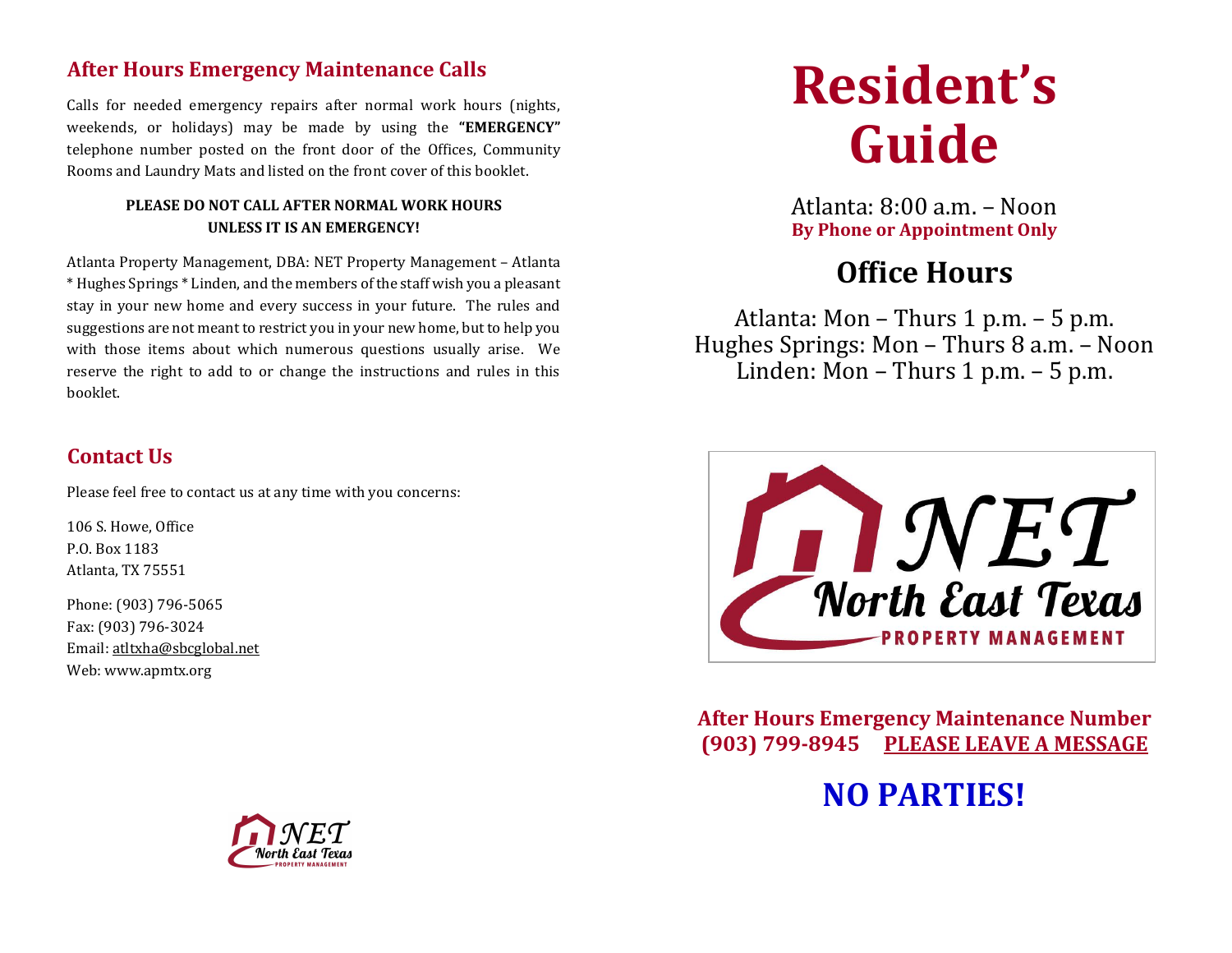#### **After Hours Emergency Maintenance Calls**

Calls for needed emergency repairs after normal work hours (nights, weekends, or holidays) may be made by using the **"EMERGENCY"** telephone number posted on the front door of the Offices, Community Rooms and Laundry Mats and listed on the front cover of this booklet.

#### **PLEASE DO NOT CALL AFTER NORMAL WORK HOURS UNLESS IT IS AN EMERGENCY!**

Atlanta Property Management, DBA: NET Property Management – Atlanta \* Hughes Springs \* Linden, and the members of the staff wish you a pleasant stay in your new home and every success in your future. The rules and suggestions are not meant to restrict you in your new home, but to help you with those items about which numerous questions usually arise. We reserve the right to add to or change the instructions and rules in this booklet.

#### **Contact Us**

Please feel free to contact us at any time with you concerns:

106 S. Howe, Office P.O. Box 1183 Atlanta, TX 75551

Phone: (903) 796-5065 Fax: (903) 796-3024 Email[: atltxha@sbcglobal.net](mailto:atltxha@sbcglobal.net) Web: www.apmtx.org

# **Resident's Guide**

Atlanta:  $8:00$  a.m. – Noon **By Phone or Appointment Only**

### **Office Hours**

Atlanta: Mon – Thurs 1 p.m. – 5 p.m. Hughes Springs: Mon – Thurs 8 a.m. – Noon Linden: Mon  $-$  Thurs 1 p.m.  $-$  5 p.m.



**After Hours Emergency Maintenance Number (903) 799-8945 PLEASE LEAVE A MESSAGE**

### **NO PARTIES!**

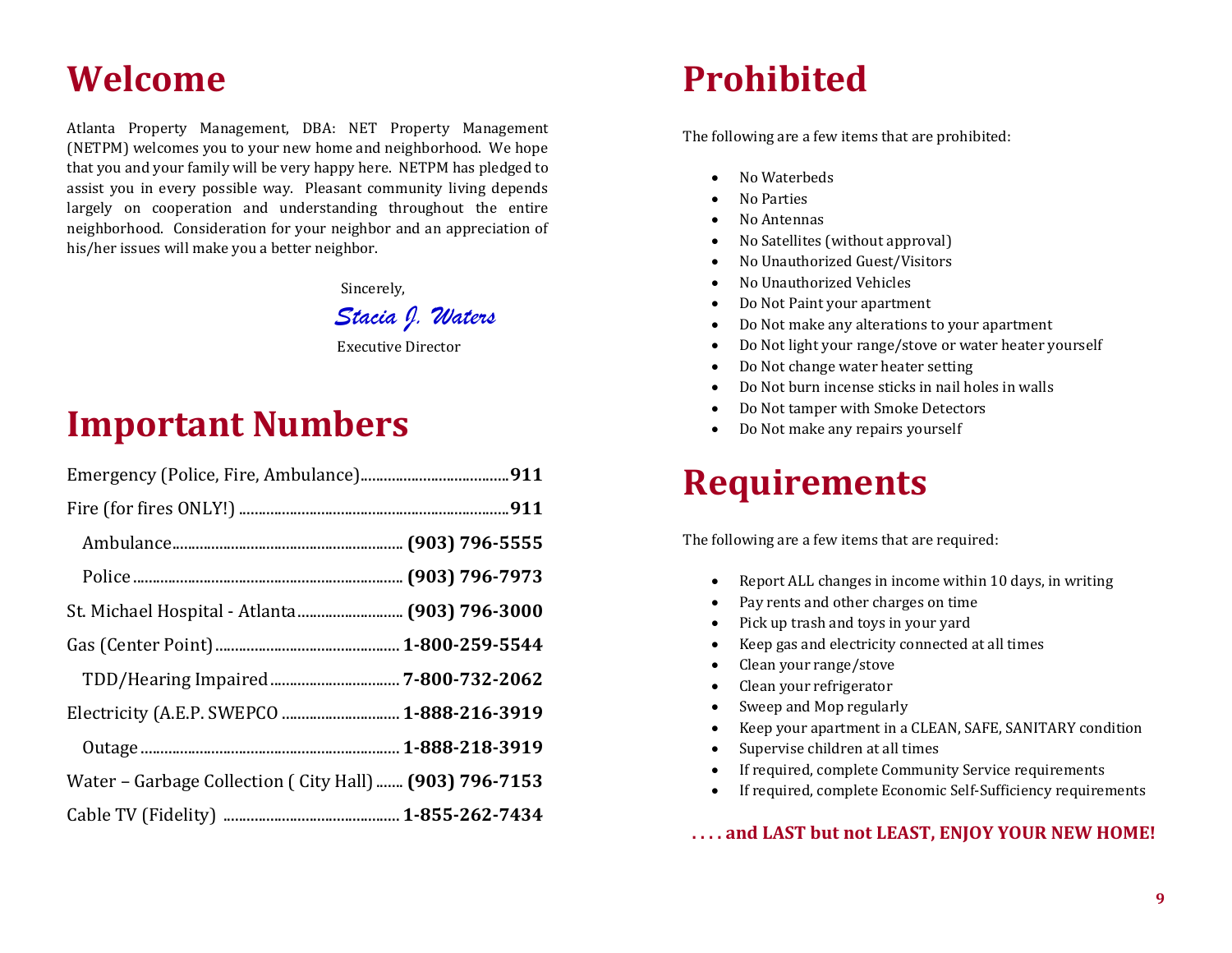## **Welcome**

Atlanta Property Management, DBA: NET Property Management (NETPM) welcomes you to your new home and neighborhood. We hope that you and your family will be very happy here. NETPM has pledged to assist you in every possible way. Pleasant community living depends largely on cooperation and understanding throughout the entire neighborhood. Consideration for your neighbor and an appreciation of his/her issues will make you a better neighbor.

Sincerely,

 *Stacia J. Waters*

Executive Director

## **Important Numbers**

| St. Michael Hospital - Atlanta  (903) 796-3000         |  |
|--------------------------------------------------------|--|
|                                                        |  |
|                                                        |  |
| Electricity (A.E.P. SWEPCO  1-888-216-3919             |  |
|                                                        |  |
| Water - Garbage Collection (City Hall)  (903) 796-7153 |  |
|                                                        |  |

## **Prohibited**

The following are a few items that are prohibited:

- No Waterbeds
- No Parties
- No Antennas
- No Satellites (without approval)
- No Unauthorized Guest/Visitors
- No Unauthorized Vehicles
- Do Not Paint your apartment
- Do Not make any alterations to your apartment
- Do Not light your range/stove or water heater yourself
- Do Not change water heater setting
- Do Not burn incense sticks in nail holes in walls
- Do Not tamper with Smoke Detectors
- Do Not make any repairs yourself

### **Requirements**

The following are a few items that are required:

- Report ALL changes in income within 10 days, in writing
- Pay rents and other charges on time
- Pick up trash and toys in your yard
- Keep gas and electricity connected at all times
- Clean your range/stove
- Clean your refrigerator
- Sweep and Mop regularly
- Keep your apartment in a CLEAN, SAFE, SANITARY condition
- Supervise children at all times
- If required, complete Community Service requirements
- If required, complete Economic Self-Sufficiency requirements

#### **. . . . and LAST but not LEAST, ENJOY YOUR NEW HOME!**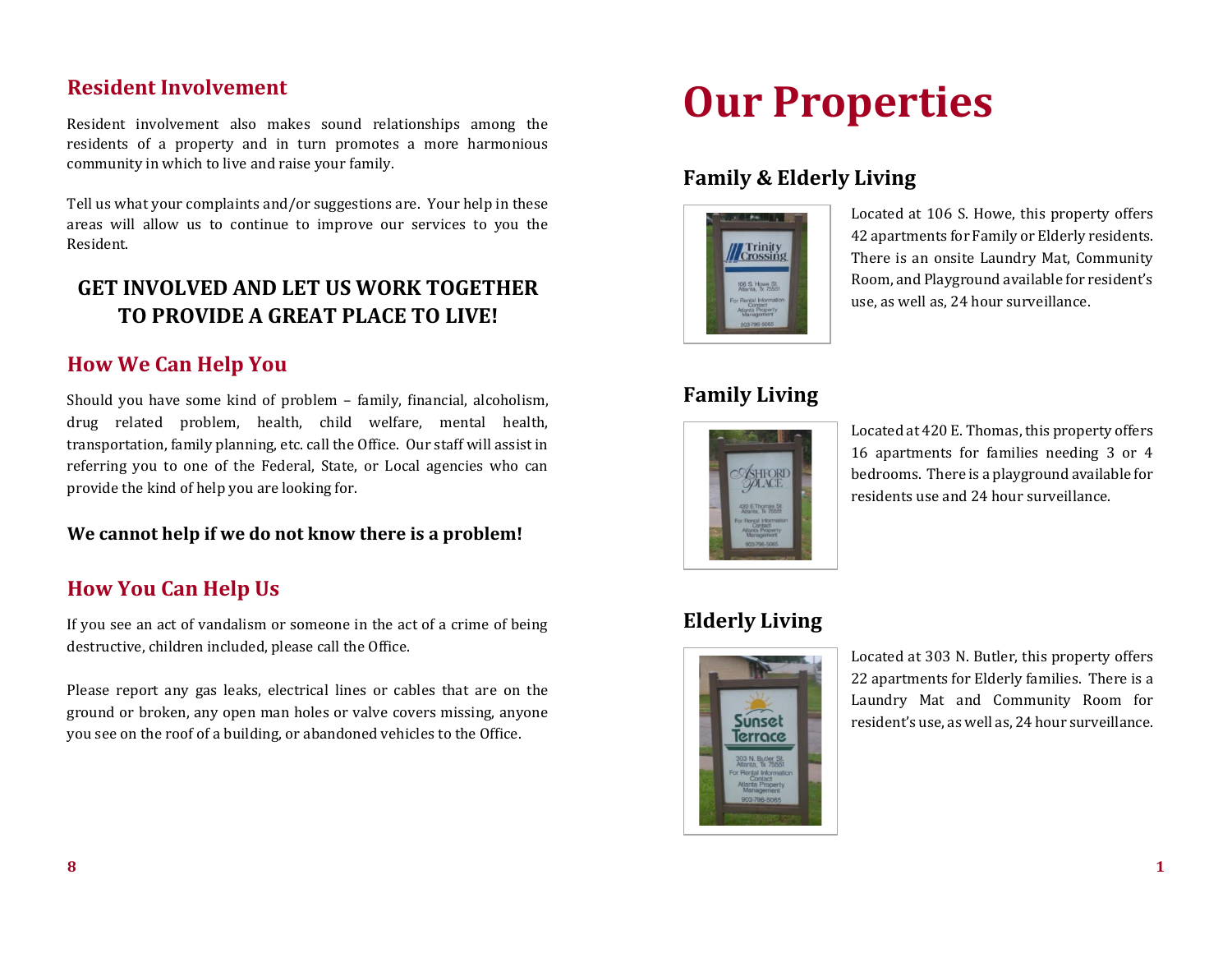#### **Resident Involvement**

Resident involvement also makes sound relationships among the residents of a property and in turn promotes a more harmonious community in which to live and raise your family.

Tell us what your complaints and/or suggestions are. Your help in these areas will allow us to continue to improve our services to you the Resident.

#### **GET INVOLVED AND LET US WORK TOGETHER TO PROVIDE A GREAT PLACE TO LIVE!**

#### **How We Can Help You**

Should you have some kind of problem – family, financial, alcoholism, drug related problem, health, child welfare, mental health, transportation, family planning, etc. call the Office. Our staff will assist in referring you to one of the Federal, State, or Local agencies who can provide the kind of help you are looking for.

#### **We cannot help if we do not know there is a problem!**

#### **How You Can Help Us**

If you see an act of vandalism or someone in the act of a crime of being destructive, children included, please call the Office.

Please report any gas leaks, electrical lines or cables that are on the ground or broken, any open man holes or valve covers missing, anyone you see on the roof of a building, or abandoned vehicles to the Office.

# **Our Properties**

#### **Family & Elderly Living**



Located at 106 S. Howe, this property offers 42 apartments for Family or Elderly residents. There is an onsite Laundry Mat, Community Room, and Playground available for resident's use, as well as, 24 hour surveillance.

#### **Family Living**



Located at 420 E. Thomas, this property offers 16 apartments for families needing 3 or 4 bedrooms. There is a playground available for residents use and 24 hour surveillance.

#### **Elderly Living**



Located at 303 N. Butler, this property offers 22 apartments for Elderly families. There is a Laundry Mat and Community Room for resident's use, as well as, 24 hour surveillance.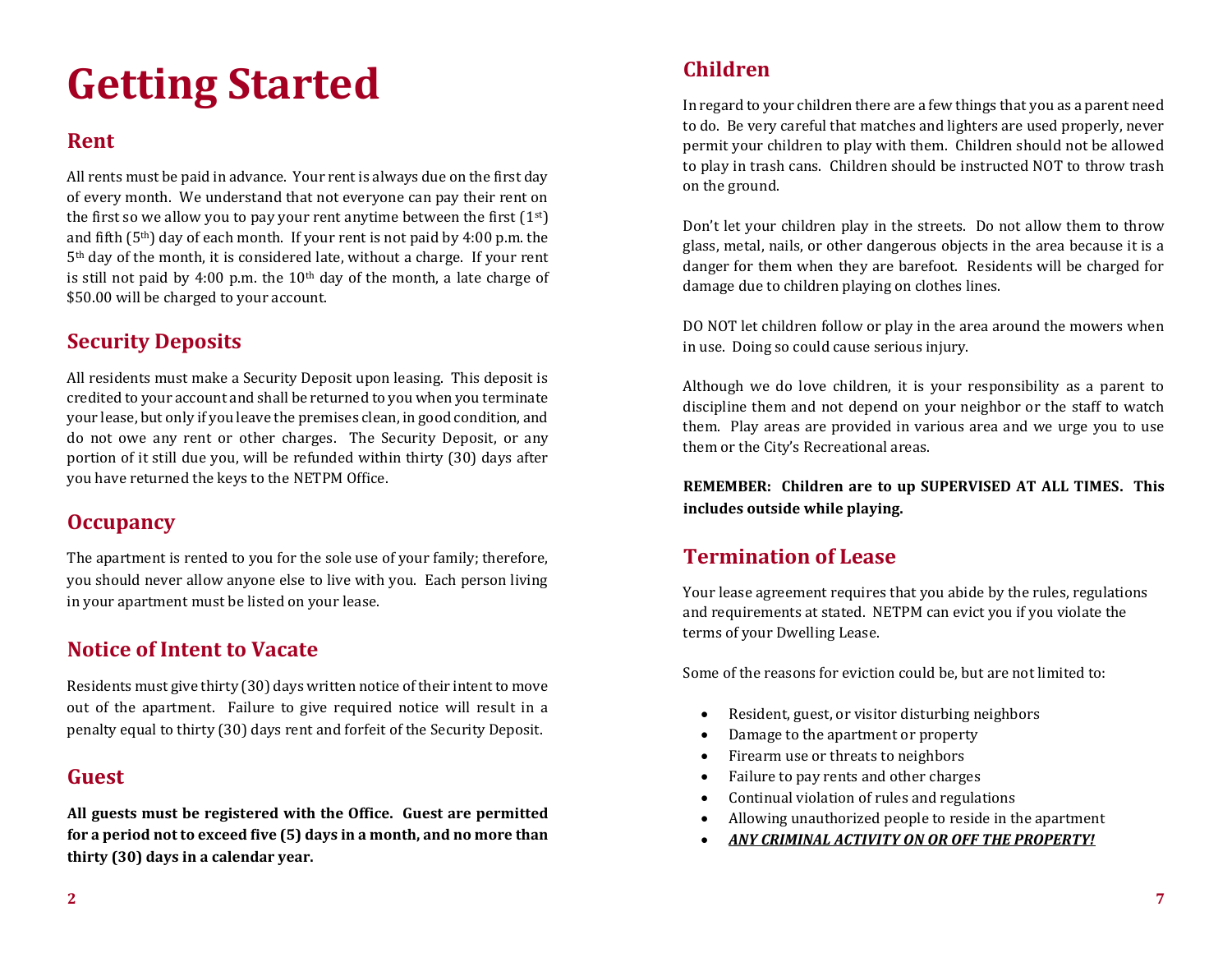# **Getting Started**

#### **Rent**

All rents must be paid in advance. Your rent is always due on the first day of every month. We understand that not everyone can pay their rent on the first so we allow you to pay your rent anytime between the first  $(1<sup>st</sup>)$ and fifth (5th) day of each month. If your rent is not paid by 4:00 p.m. the 5th day of the month, it is considered late, without a charge. If your rent is still not paid by 4:00 p.m. the  $10<sup>th</sup>$  day of the month, a late charge of \$50.00 will be charged to your account.

### **Security Deposits**

All residents must make a Security Deposit upon leasing. This deposit is credited to your account and shall be returned to you when you terminate your lease, but only if you leave the premises clean, in good condition, and do not owe any rent or other charges. The Security Deposit, or any portion of it still due you, will be refunded within thirty (30) days after you have returned the keys to the NETPM Office.

#### **Occupancy**

The apartment is rented to you for the sole use of your family; therefore, you should never allow anyone else to live with you. Each person living in your apartment must be listed on your lease.

#### **Notice of Intent to Vacate**

Residents must give thirty (30) days written notice of their intent to move out of the apartment. Failure to give required notice will result in a penalty equal to thirty (30) days rent and forfeit of the Security Deposit.

#### **Guest**

**All guests must be registered with the Office. Guest are permitted for a period not to exceed five (5) days in a month, and no more than thirty (30) days in a calendar year.** 

In regard to your children there are a few things that you as a parent need to do. Be very careful that matches and lighters are used properly, never permit your children to play with them. Children should not be allowed to play in trash cans. Children should be instructed NOT to throw trash on the ground.

Don't let your children play in the streets. Do not allow them to throw glass, metal, nails, or other dangerous objects in the area because it is a danger for them when they are barefoot. Residents will be charged for damage due to children playing on clothes lines.

DO NOT let children follow or play in the area around the mowers when in use. Doing so could cause serious injury.

Although we do love children, it is your responsibility as a parent to discipline them and not depend on your neighbor or the staff to watch them. Play areas are provided in various area and we urge you to use them or the City's Recreational areas.

**REMEMBER: Children are to up SUPERVISED AT ALL TIMES. This includes outside while playing.**

### **Termination of Lease**

Your lease agreement requires that you abide by the rules, regulations and requirements at stated. NETPM can evict you if you violate the terms of your Dwelling Lease.

Some of the reasons for eviction could be, but are not limited to:

- Resident, guest, or visitor disturbing neighbors
- Damage to the apartment or property
- Firearm use or threats to neighbors
- Failure to pay rents and other charges
- Continual violation of rules and regulations
- Allowing unauthorized people to reside in the apartment
- *ANY CRIMINAL ACTIVITY ON OR OFF THE PROPERTY!*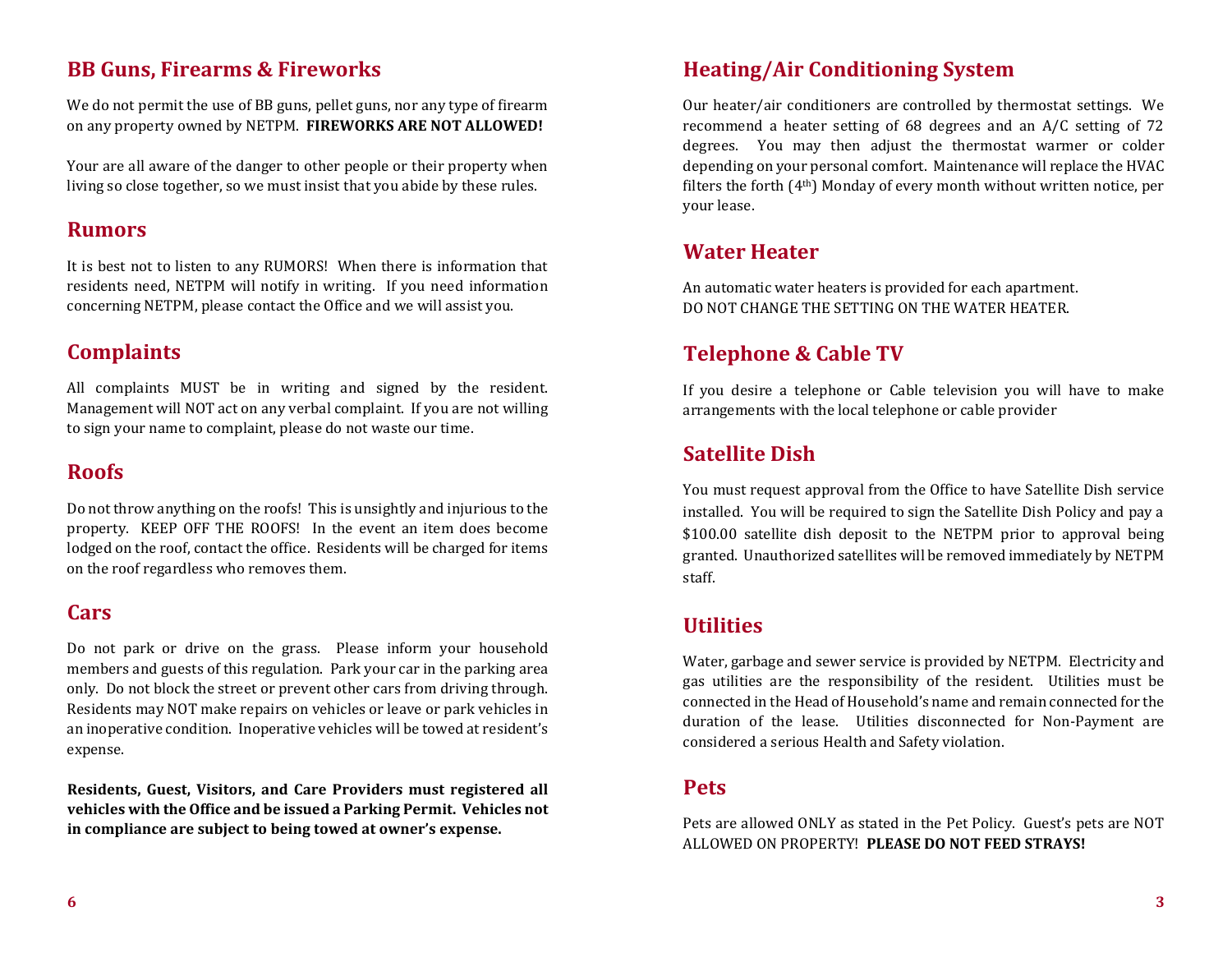#### **BB Guns, Firearms & Fireworks**

We do not permit the use of BB guns, pellet guns, nor any type of firearm on any property owned by NETPM. **FIREWORKS ARE NOT ALLOWED!**

Your are all aware of the danger to other people or their property when living so close together, so we must insist that you abide by these rules.

#### **Rumors**

It is best not to listen to any RUMORS! When there is information that residents need, NETPM will notify in writing. If you need information concerning NETPM, please contact the Office and we will assist you.

#### **Complaints**

All complaints MUST be in writing and signed by the resident. Management will NOT act on any verbal complaint. If you are not willing to sign your name to complaint, please do not waste our time.

#### **Roofs**

Do not throw anything on the roofs! This is unsightly and injurious to the property. KEEP OFF THE ROOFS! In the event an item does become lodged on the roof, contact the office. Residents will be charged for items on the roof regardless who removes them.

#### **Cars**

Do not park or drive on the grass. Please inform your household members and guests of this regulation. Park your car in the parking area only. Do not block the street or prevent other cars from driving through. Residents may NOT make repairs on vehicles or leave or park vehicles in an inoperative condition. Inoperative vehicles will be towed at resident's expense.

**Residents, Guest, Visitors, and Care Providers must registered all vehicles with the Office and be issued a Parking Permit. Vehicles not in compliance are subject to being towed at owner's expense.**

#### **Heating/Air Conditioning System**

Our heater/air conditioners are controlled by thermostat settings. We recommend a heater setting of 68 degrees and an A/C setting of 72 degrees. You may then adjust the thermostat warmer or colder depending on your personal comfort. Maintenance will replace the HVAC filters the forth (4th) Monday of every month without written notice, per your lease.

#### **Water Heater**

An automatic water heaters is provided for each apartment. DO NOT CHANGE THE SETTING ON THE WATER HEATER.

### **Telephone & Cable TV**

If you desire a telephone or Cable television you will have to make arrangements with the local telephone or cable provider

#### **Satellite Dish**

You must request approval from the Office to have Satellite Dish service installed. You will be required to sign the Satellite Dish Policy and pay a \$100.00 satellite dish deposit to the NETPM prior to approval being granted. Unauthorized satellites will be removed immediately by NETPM staff.

#### **Utilities**

Water, garbage and sewer service is provided by NETPM. Electricity and gas utilities are the responsibility of the resident. Utilities must be connected in the Head of Household's name and remain connected for the duration of the lease. Utilities disconnected for Non-Payment are considered a serious Health and Safety violation.

#### **Pets**

Pets are allowed ONLY as stated in the Pet Policy. Guest's pets are NOT ALLOWED ON PROPERTY! **PLEASE DO NOT FEED STRAYS!**